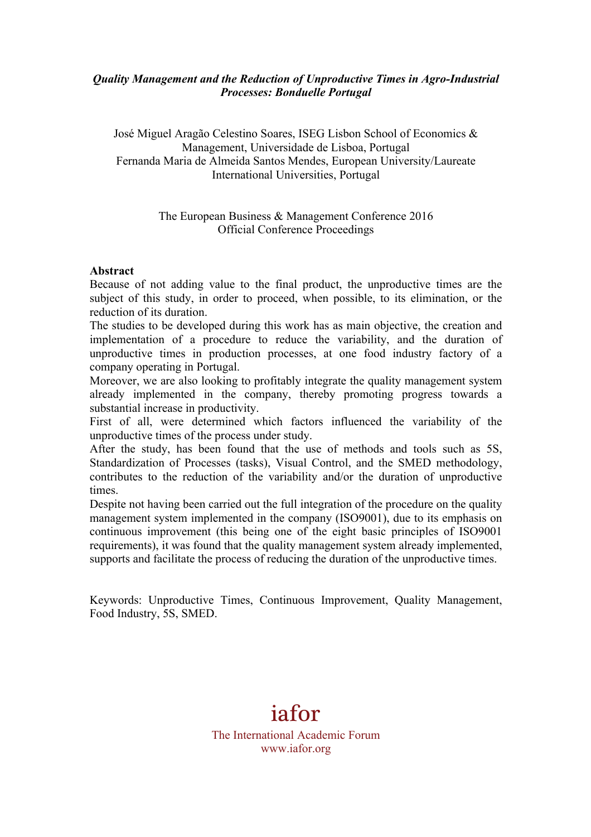# *Quality Management and the Reduction of Unproductive Times in Agro-Industrial Processes: Bonduelle Portugal*

José Miguel Aragão Celestino Soares, ISEG Lisbon School of Economics & Management, Universidade de Lisboa, Portugal Fernanda Maria de Almeida Santos Mendes, European University/Laureate International Universities, Portugal

# The European Business & Management Conference 2016 Official Conference Proceedings

#### **Abstract**

Because of not adding value to the final product, the unproductive times are the subject of this study, in order to proceed, when possible, to its elimination, or the reduction of its duration.

The studies to be developed during this work has as main objective, the creation and implementation of a procedure to reduce the variability, and the duration of unproductive times in production processes, at one food industry factory of a company operating in Portugal.

Moreover, we are also looking to profitably integrate the quality management system already implemented in the company, thereby promoting progress towards a substantial increase in productivity.

First of all, were determined which factors influenced the variability of the unproductive times of the process under study.

After the study, has been found that the use of methods and tools such as 5S, Standardization of Processes (tasks), Visual Control, and the SMED methodology, contributes to the reduction of the variability and/or the duration of unproductive times.

Despite not having been carried out the full integration of the procedure on the quality management system implemented in the company (ISO9001), due to its emphasis on continuous improvement (this being one of the eight basic principles of ISO9001 requirements), it was found that the quality management system already implemented, supports and facilitate the process of reducing the duration of the unproductive times.

Keywords: Unproductive Times, Continuous Improvement, Quality Management, Food Industry, 5S, SMED.

# iafor

The International Academic Forum www.iafor.org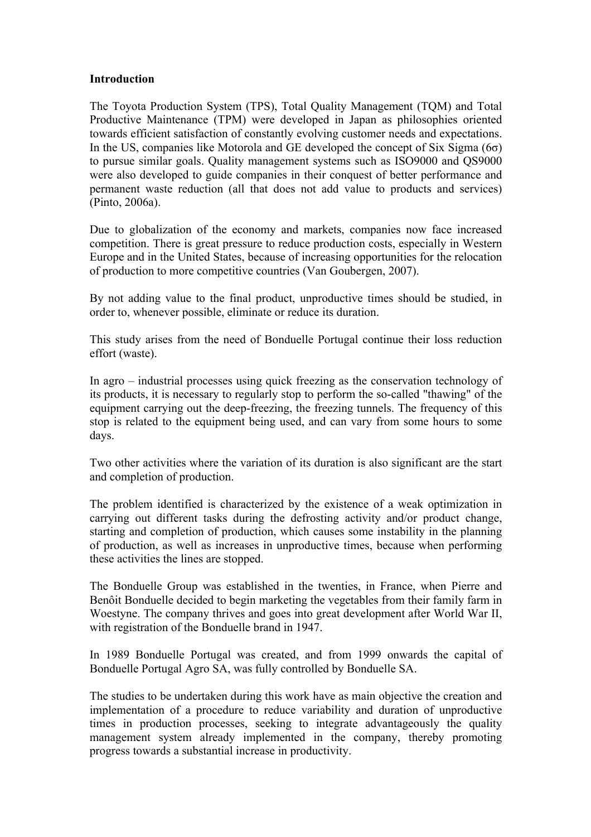# **Introduction**

The Toyota Production System (TPS), Total Quality Management (TQM) and Total Productive Maintenance (TPM) were developed in Japan as philosophies oriented towards efficient satisfaction of constantly evolving customer needs and expectations. In the US, companies like Motorola and GE developed the concept of Six Sigma ( $6\sigma$ ) to pursue similar goals. Quality management systems such as ISO9000 and QS9000 were also developed to guide companies in their conquest of better performance and permanent waste reduction (all that does not add value to products and services) (Pinto, 2006a).

Due to globalization of the economy and markets, companies now face increased competition. There is great pressure to reduce production costs, especially in Western Europe and in the United States, because of increasing opportunities for the relocation of production to more competitive countries (Van Goubergen, 2007).

By not adding value to the final product, unproductive times should be studied, in order to, whenever possible, eliminate or reduce its duration.

This study arises from the need of Bonduelle Portugal continue their loss reduction effort (waste).

In agro – industrial processes using quick freezing as the conservation technology of its products, it is necessary to regularly stop to perform the so-called "thawing" of the equipment carrying out the deep-freezing, the freezing tunnels. The frequency of this stop is related to the equipment being used, and can vary from some hours to some days.

Two other activities where the variation of its duration is also significant are the start and completion of production.

The problem identified is characterized by the existence of a weak optimization in carrying out different tasks during the defrosting activity and/or product change, starting and completion of production, which causes some instability in the planning of production, as well as increases in unproductive times, because when performing these activities the lines are stopped.

The Bonduelle Group was established in the twenties, in France, when Pierre and Benôit Bonduelle decided to begin marketing the vegetables from their family farm in Woestyne. The company thrives and goes into great development after World War II, with registration of the Bonduelle brand in 1947.

In 1989 Bonduelle Portugal was created, and from 1999 onwards the capital of Bonduelle Portugal Agro SA, was fully controlled by Bonduelle SA.

The studies to be undertaken during this work have as main objective the creation and implementation of a procedure to reduce variability and duration of unproductive times in production processes, seeking to integrate advantageously the quality management system already implemented in the company, thereby promoting progress towards a substantial increase in productivity.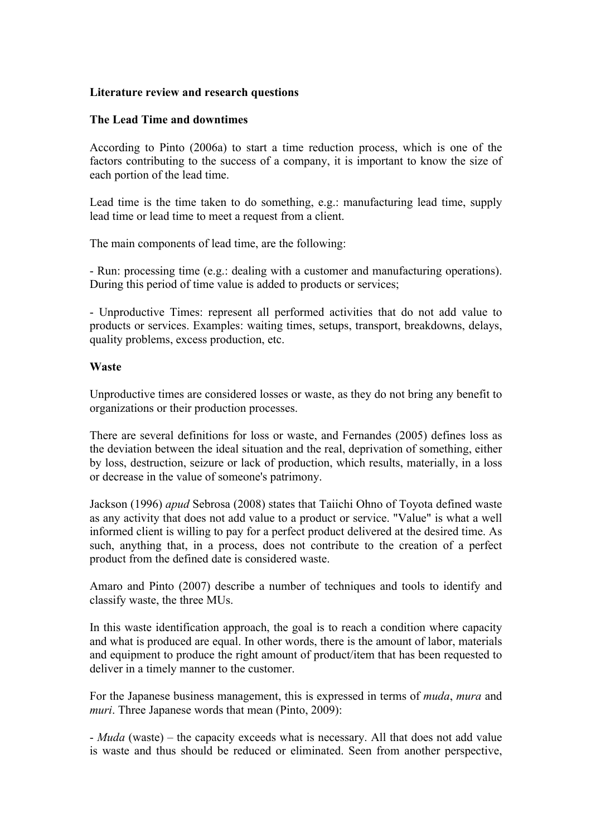# **Literature review and research questions**

# **The Lead Time and downtimes**

According to Pinto (2006a) to start a time reduction process, which is one of the factors contributing to the success of a company, it is important to know the size of each portion of the lead time.

Lead time is the time taken to do something, e.g.: manufacturing lead time, supply lead time or lead time to meet a request from a client.

The main components of lead time, are the following:

- Run: processing time (e.g.: dealing with a customer and manufacturing operations). During this period of time value is added to products or services;

- Unproductive Times: represent all performed activities that do not add value to products or services. Examples: waiting times, setups, transport, breakdowns, delays, quality problems, excess production, etc.

# **Waste**

Unproductive times are considered losses or waste, as they do not bring any benefit to organizations or their production processes.

There are several definitions for loss or waste, and Fernandes (2005) defines loss as the deviation between the ideal situation and the real, deprivation of something, either by loss, destruction, seizure or lack of production, which results, materially, in a loss or decrease in the value of someone's patrimony.

Jackson (1996) *apud* Sebrosa (2008) states that Taiichi Ohno of Toyota defined waste as any activity that does not add value to a product or service. "Value" is what a well informed client is willing to pay for a perfect product delivered at the desired time. As such, anything that, in a process, does not contribute to the creation of a perfect product from the defined date is considered waste.

Amaro and Pinto (2007) describe a number of techniques and tools to identify and classify waste, the three MUs.

In this waste identification approach, the goal is to reach a condition where capacity and what is produced are equal. In other words, there is the amount of labor, materials and equipment to produce the right amount of product/item that has been requested to deliver in a timely manner to the customer.

For the Japanese business management, this is expressed in terms of *muda*, *mura* and *muri*. Three Japanese words that mean (Pinto, 2009):

- *Muda* (waste) – the capacity exceeds what is necessary. All that does not add value is waste and thus should be reduced or eliminated. Seen from another perspective,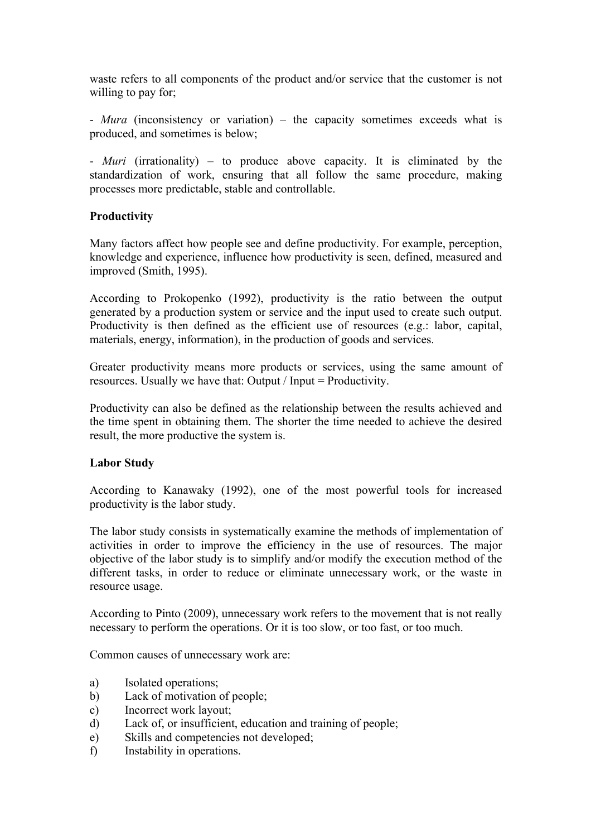waste refers to all components of the product and/or service that the customer is not willing to pay for;

- *Mura* (inconsistency or variation) – the capacity sometimes exceeds what is produced, and sometimes is below;

- *Muri* (irrationality) – to produce above capacity. It is eliminated by the standardization of work, ensuring that all follow the same procedure, making processes more predictable, stable and controllable.

# **Productivity**

Many factors affect how people see and define productivity. For example, perception, knowledge and experience, influence how productivity is seen, defined, measured and improved (Smith, 1995).

According to Prokopenko (1992), productivity is the ratio between the output generated by a production system or service and the input used to create such output. Productivity is then defined as the efficient use of resources (e.g.: labor, capital, materials, energy, information), in the production of goods and services.

Greater productivity means more products or services, using the same amount of resources. Usually we have that: Output / Input = Productivity.

Productivity can also be defined as the relationship between the results achieved and the time spent in obtaining them. The shorter the time needed to achieve the desired result, the more productive the system is.

# **Labor Study**

According to Kanawaky (1992), one of the most powerful tools for increased productivity is the labor study.

The labor study consists in systematically examine the methods of implementation of activities in order to improve the efficiency in the use of resources. The major objective of the labor study is to simplify and/or modify the execution method of the different tasks, in order to reduce or eliminate unnecessary work, or the waste in resource usage.

According to Pinto (2009), unnecessary work refers to the movement that is not really necessary to perform the operations. Or it is too slow, or too fast, or too much.

Common causes of unnecessary work are:

- a) Isolated operations;
- b) Lack of motivation of people;
- c) Incorrect work layout;
- d) Lack of, or insufficient, education and training of people;
- e) Skills and competencies not developed;
- f) Instability in operations.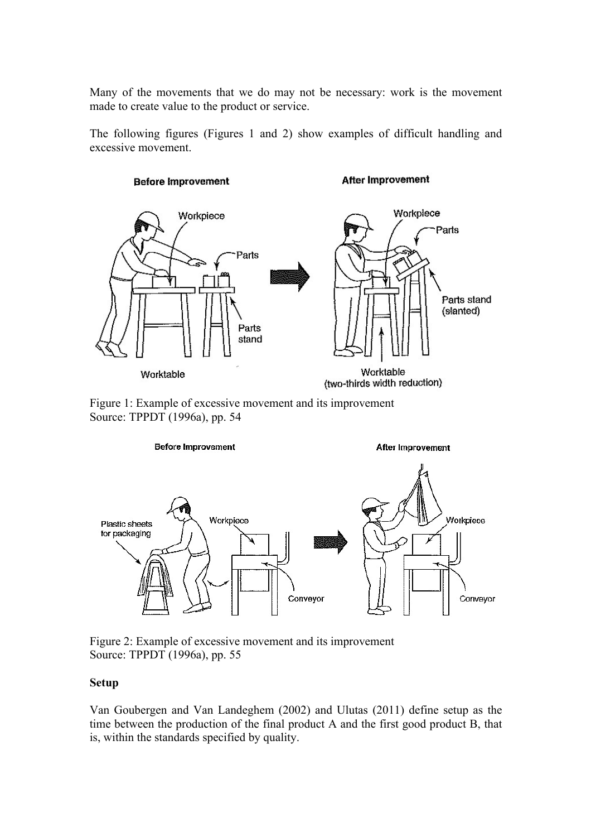Many of the movements that we do may not be necessary: work is the movement made to create value to the product or service.

The following figures (Figures 1 and 2) show examples of difficult handling and excessive movement.



Figure 1: Example of excessive movement and its improvement Source: TPPDT (1996a), pp. 54



Figure 2: Example of excessive movement and its improvement Source: TPPDT (1996a), pp. 55

# **Setup**

Van Goubergen and Van Landeghem (2002) and Ulutas (2011) define setup as the time between the production of the final product A and the first good product B, that is, within the standards specified by quality.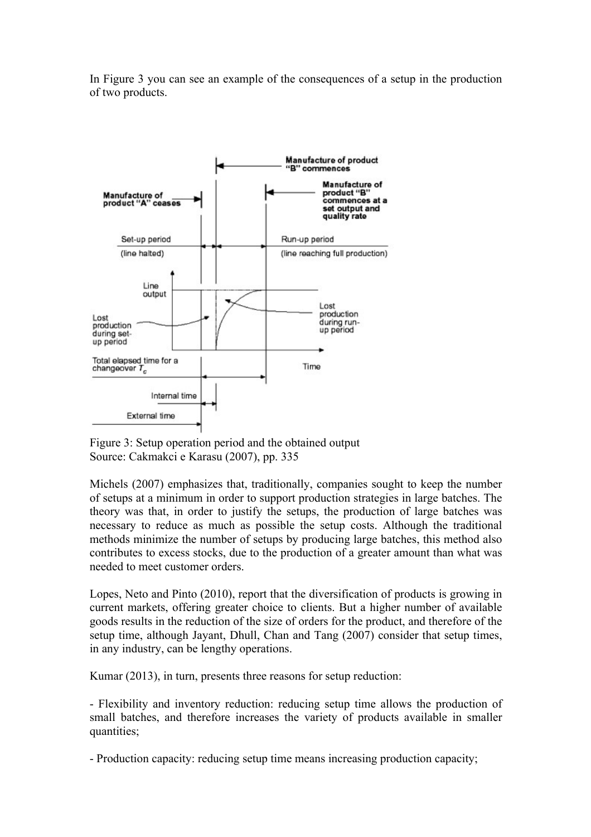In Figure 3 you can see an example of the consequences of a setup in the production of two products.



Figure 3: Setup operation period and the obtained output Source: Cakmakci e Karasu (2007), pp. 335

Michels (2007) emphasizes that, traditionally, companies sought to keep the number of setups at a minimum in order to support production strategies in large batches. The theory was that, in order to justify the setups, the production of large batches was necessary to reduce as much as possible the setup costs. Although the traditional methods minimize the number of setups by producing large batches, this method also contributes to excess stocks, due to the production of a greater amount than what was needed to meet customer orders.

Lopes, Neto and Pinto (2010), report that the diversification of products is growing in current markets, offering greater choice to clients. But a higher number of available goods results in the reduction of the size of orders for the product, and therefore of the setup time, although Jayant, Dhull, Chan and Tang (2007) consider that setup times, in any industry, can be lengthy operations.

Kumar (2013), in turn, presents three reasons for setup reduction:

- Flexibility and inventory reduction: reducing setup time allows the production of small batches, and therefore increases the variety of products available in smaller quantities;

- Production capacity: reducing setup time means increasing production capacity;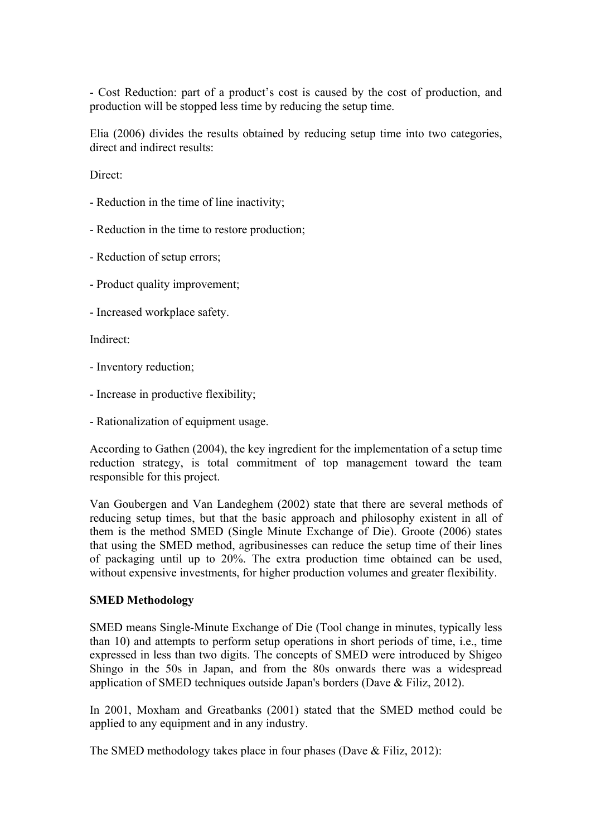- Cost Reduction: part of a product's cost is caused by the cost of production, and production will be stopped less time by reducing the setup time.

Elia (2006) divides the results obtained by reducing setup time into two categories, direct and indirect results:

Direct:

- Reduction in the time of line inactivity;
- Reduction in the time to restore production;
- Reduction of setup errors;
- Product quality improvement;
- Increased workplace safety.

Indirect:

- Inventory reduction;
- Increase in productive flexibility;
- Rationalization of equipment usage.

According to Gathen (2004), the key ingredient for the implementation of a setup time reduction strategy, is total commitment of top management toward the team responsible for this project.

Van Goubergen and Van Landeghem (2002) state that there are several methods of reducing setup times, but that the basic approach and philosophy existent in all of them is the method SMED (Single Minute Exchange of Die). Groote (2006) states that using the SMED method, agribusinesses can reduce the setup time of their lines of packaging until up to 20%. The extra production time obtained can be used, without expensive investments, for higher production volumes and greater flexibility.

# **SMED Methodology**

SMED means Single-Minute Exchange of Die (Tool change in minutes, typically less than 10) and attempts to perform setup operations in short periods of time, i.e., time expressed in less than two digits. The concepts of SMED were introduced by Shigeo Shingo in the 50s in Japan, and from the 80s onwards there was a widespread application of SMED techniques outside Japan's borders (Dave & Filiz, 2012).

In 2001, Moxham and Greatbanks (2001) stated that the SMED method could be applied to any equipment and in any industry.

The SMED methodology takes place in four phases (Dave & Filiz, 2012):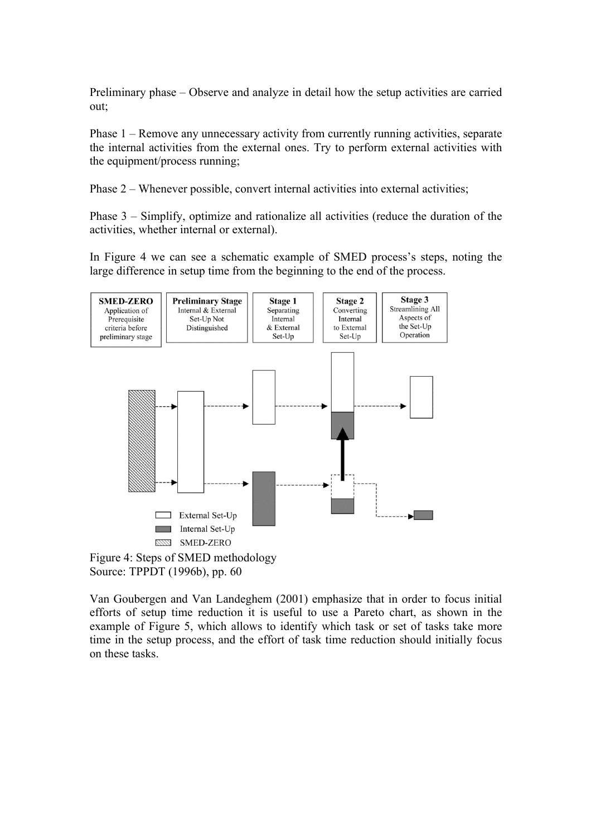Preliminary phase – Observe and analyze in detail how the setup activities are carried out;

Phase 1 – Remove any unnecessary activity from currently running activities, separate the internal activities from the external ones. Try to perform external activities with the equipment/process running;

Phase 2 – Whenever possible, convert internal activities into external activities;

Phase 3 – Simplify, optimize and rationalize all activities (reduce the duration of the activities, whether internal or external).

In Figure 4 we can see a schematic example of SMED process's steps, noting the large difference in setup time from the beginning to the end of the process.





Van Goubergen and Van Landeghem (2001) emphasize that in order to focus initial efforts of setup time reduction it is useful to use a Pareto chart, as shown in the example of Figure 5, which allows to identify which task or set of tasks take more time in the setup process, and the effort of task time reduction should initially focus on these tasks.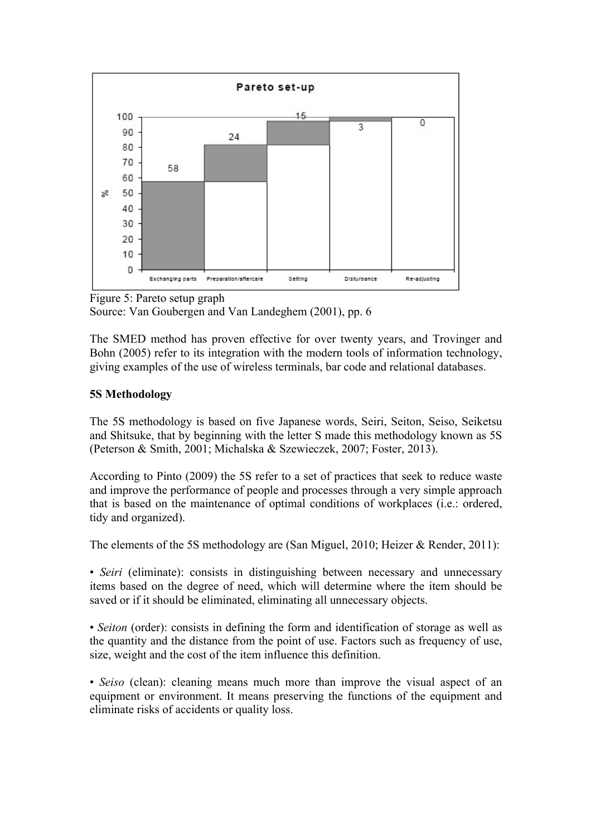

Figure 5: Pareto setup graph Source: Van Goubergen and Van Landeghem (2001), pp. 6

The SMED method has proven effective for over twenty years, and Trovinger and Bohn (2005) refer to its integration with the modern tools of information technology, giving examples of the use of wireless terminals, bar code and relational databases.

# **5S Methodology**

The 5S methodology is based on five Japanese words, Seiri, Seiton, Seiso, Seiketsu and Shitsuke, that by beginning with the letter S made this methodology known as 5S (Peterson & Smith, 2001; Michalska & Szewieczek, 2007; Foster, 2013).

According to Pinto (2009) the 5S refer to a set of practices that seek to reduce waste and improve the performance of people and processes through a very simple approach that is based on the maintenance of optimal conditions of workplaces (i.e.: ordered, tidy and organized).

The elements of the 5S methodology are (San Miguel, 2010; Heizer & Render, 2011):

• *Seiri* (eliminate): consists in distinguishing between necessary and unnecessary items based on the degree of need, which will determine where the item should be saved or if it should be eliminated, eliminating all unnecessary objects.

• *Seiton* (order): consists in defining the form and identification of storage as well as the quantity and the distance from the point of use. Factors such as frequency of use, size, weight and the cost of the item influence this definition.

• *Seiso* (clean): cleaning means much more than improve the visual aspect of an equipment or environment. It means preserving the functions of the equipment and eliminate risks of accidents or quality loss.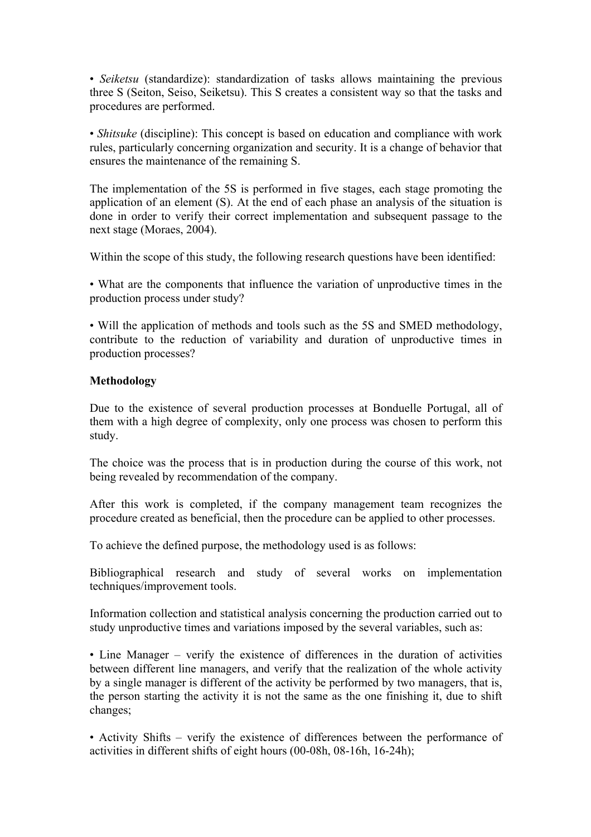• *Seiketsu* (standardize): standardization of tasks allows maintaining the previous three S (Seiton, Seiso, Seiketsu). This S creates a consistent way so that the tasks and procedures are performed.

• *Shitsuke* (discipline): This concept is based on education and compliance with work rules, particularly concerning organization and security. It is a change of behavior that ensures the maintenance of the remaining S.

The implementation of the 5S is performed in five stages, each stage promoting the application of an element (S). At the end of each phase an analysis of the situation is done in order to verify their correct implementation and subsequent passage to the next stage (Moraes, 2004).

Within the scope of this study, the following research questions have been identified:

• What are the components that influence the variation of unproductive times in the production process under study?

• Will the application of methods and tools such as the 5S and SMED methodology, contribute to the reduction of variability and duration of unproductive times in production processes?

#### **Methodology**

Due to the existence of several production processes at Bonduelle Portugal, all of them with a high degree of complexity, only one process was chosen to perform this study.

The choice was the process that is in production during the course of this work, not being revealed by recommendation of the company.

After this work is completed, if the company management team recognizes the procedure created as beneficial, then the procedure can be applied to other processes.

To achieve the defined purpose, the methodology used is as follows:

Bibliographical research and study of several works on implementation techniques/improvement tools.

Information collection and statistical analysis concerning the production carried out to study unproductive times and variations imposed by the several variables, such as:

• Line Manager – verify the existence of differences in the duration of activities between different line managers, and verify that the realization of the whole activity by a single manager is different of the activity be performed by two managers, that is, the person starting the activity it is not the same as the one finishing it, due to shift changes;

• Activity Shifts – verify the existence of differences between the performance of activities in different shifts of eight hours (00-08h, 08-16h, 16-24h);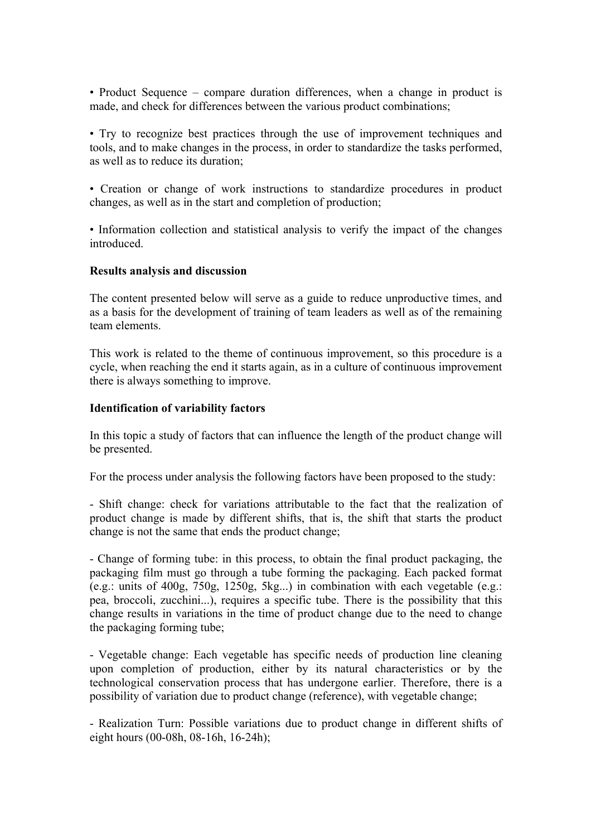• Product Sequence – compare duration differences, when a change in product is made, and check for differences between the various product combinations;

• Try to recognize best practices through the use of improvement techniques and tools, and to make changes in the process, in order to standardize the tasks performed, as well as to reduce its duration;

• Creation or change of work instructions to standardize procedures in product changes, as well as in the start and completion of production;

• Information collection and statistical analysis to verify the impact of the changes **introduced** 

#### **Results analysis and discussion**

The content presented below will serve as a guide to reduce unproductive times, and as a basis for the development of training of team leaders as well as of the remaining team elements.

This work is related to the theme of continuous improvement, so this procedure is a cycle, when reaching the end it starts again, as in a culture of continuous improvement there is always something to improve.

# **Identification of variability factors**

In this topic a study of factors that can influence the length of the product change will be presented.

For the process under analysis the following factors have been proposed to the study:

- Shift change: check for variations attributable to the fact that the realization of product change is made by different shifts, that is, the shift that starts the product change is not the same that ends the product change;

- Change of forming tube: in this process, to obtain the final product packaging, the packaging film must go through a tube forming the packaging. Each packed format (e.g.: units of 400g, 750g, 1250g, 5kg...) in combination with each vegetable (e.g.: pea, broccoli, zucchini...), requires a specific tube. There is the possibility that this change results in variations in the time of product change due to the need to change the packaging forming tube;

- Vegetable change: Each vegetable has specific needs of production line cleaning upon completion of production, either by its natural characteristics or by the technological conservation process that has undergone earlier. Therefore, there is a possibility of variation due to product change (reference), with vegetable change;

- Realization Turn: Possible variations due to product change in different shifts of eight hours (00-08h, 08-16h, 16-24h);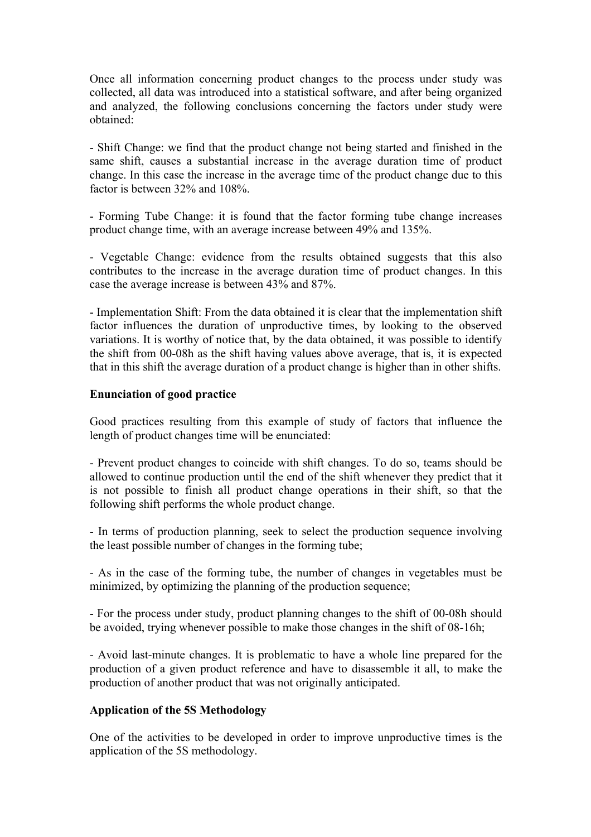Once all information concerning product changes to the process under study was collected, all data was introduced into a statistical software, and after being organized and analyzed, the following conclusions concerning the factors under study were obtained:

- Shift Change: we find that the product change not being started and finished in the same shift, causes a substantial increase in the average duration time of product change. In this case the increase in the average time of the product change due to this factor is between 32% and 108%.

- Forming Tube Change: it is found that the factor forming tube change increases product change time, with an average increase between 49% and 135%.

- Vegetable Change: evidence from the results obtained suggests that this also contributes to the increase in the average duration time of product changes. In this case the average increase is between 43% and 87%.

- Implementation Shift: From the data obtained it is clear that the implementation shift factor influences the duration of unproductive times, by looking to the observed variations. It is worthy of notice that, by the data obtained, it was possible to identify the shift from 00-08h as the shift having values above average, that is, it is expected that in this shift the average duration of a product change is higher than in other shifts.

# **Enunciation of good practice**

Good practices resulting from this example of study of factors that influence the length of product changes time will be enunciated:

- Prevent product changes to coincide with shift changes. To do so, teams should be allowed to continue production until the end of the shift whenever they predict that it is not possible to finish all product change operations in their shift, so that the following shift performs the whole product change.

- In terms of production planning, seek to select the production sequence involving the least possible number of changes in the forming tube;

- As in the case of the forming tube, the number of changes in vegetables must be minimized, by optimizing the planning of the production sequence;

- For the process under study, product planning changes to the shift of 00-08h should be avoided, trying whenever possible to make those changes in the shift of 08-16h;

- Avoid last-minute changes. It is problematic to have a whole line prepared for the production of a given product reference and have to disassemble it all, to make the production of another product that was not originally anticipated.

# **Application of the 5S Methodology**

One of the activities to be developed in order to improve unproductive times is the application of the 5S methodology.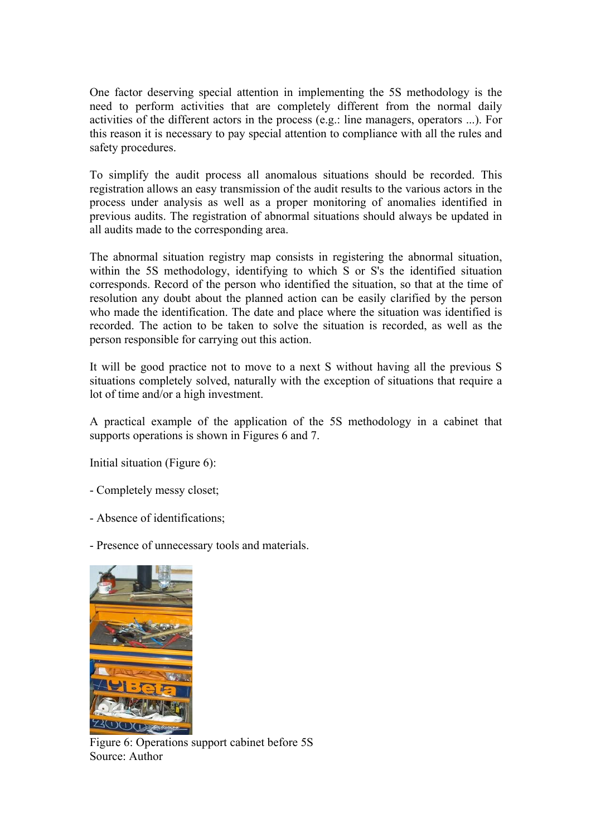One factor deserving special attention in implementing the 5S methodology is the need to perform activities that are completely different from the normal daily activities of the different actors in the process (e.g.: line managers, operators ...). For this reason it is necessary to pay special attention to compliance with all the rules and safety procedures.

To simplify the audit process all anomalous situations should be recorded. This registration allows an easy transmission of the audit results to the various actors in the process under analysis as well as a proper monitoring of anomalies identified in previous audits. The registration of abnormal situations should always be updated in all audits made to the corresponding area.

The abnormal situation registry map consists in registering the abnormal situation, within the 5S methodology, identifying to which S or S's the identified situation corresponds. Record of the person who identified the situation, so that at the time of resolution any doubt about the planned action can be easily clarified by the person who made the identification. The date and place where the situation was identified is recorded. The action to be taken to solve the situation is recorded, as well as the person responsible for carrying out this action.

It will be good practice not to move to a next S without having all the previous S situations completely solved, naturally with the exception of situations that require a lot of time and/or a high investment.

A practical example of the application of the 5S methodology in a cabinet that supports operations is shown in Figures 6 and 7.

Initial situation (Figure 6):

- Completely messy closet;
- Absence of identifications;

- Presence of unnecessary tools and materials.



Figure 6: Operations support cabinet before 5S Source: Author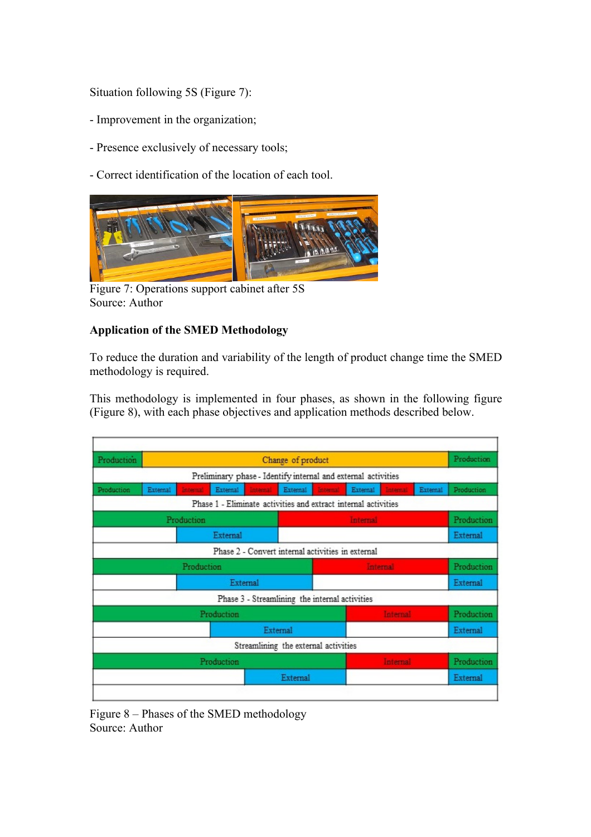Situation following 5S (Figure 7):

- Improvement in the organization;
- Presence exclusively of necessary tools;
- Correct identification of the location of each tool.



Figure 7: Operations support cabinet after 5S Source: Author

# **Application of the SMED Methodology**

To reduce the duration and variability of the length of product change time the SMED methodology is required.

This methodology is implemented in four phases, as shown in the following figure (Figure 8), with each phase objectives and application methods described below.

| Production |          | Change of product |          |                 |                                                                |                 |          |            |            | Production |
|------------|----------|-------------------|----------|-----------------|----------------------------------------------------------------|-----------------|----------|------------|------------|------------|
|            |          |                   |          |                 | Preliminary phase - Identify internal and external activities  |                 |          |            |            |            |
| Production | External | <b>In ternal</b>  | External | Intental        | External                                                       | <b>Internal</b> | External | Intental   | External   | Production |
|            |          |                   |          |                 | Phase 1 - Eliminate activities and extract internal activities |                 |          |            |            |            |
| Production |          |                   |          | <b>Internal</b> |                                                                |                 |          |            | Production |            |
| External   |          |                   |          |                 |                                                                |                 |          | External   |            |            |
|            |          |                   |          |                 | Phase 2 - Convert internal activities in external              |                 |          |            |            |            |
| Production |          |                   |          |                 |                                                                | internal.       |          |            |            | Production |
| External   |          |                   |          |                 |                                                                |                 |          |            | External   |            |
|            |          |                   |          |                 | Phase 3 - Streamlining the internal activities                 |                 |          |            |            |            |
| Production |          |                   |          |                 | Internal                                                       |                 |          | Production |            |            |
| External   |          |                   |          |                 |                                                                |                 |          |            |            | External   |
|            |          |                   |          |                 | Streamlining the external activities                           |                 |          |            |            |            |
| Production |          |                   |          |                 |                                                                | Internal        |          |            | Production |            |
|            |          |                   |          |                 | External                                                       |                 |          |            | External   |            |

Figure 8 – Phases of the SMED methodology Source: Author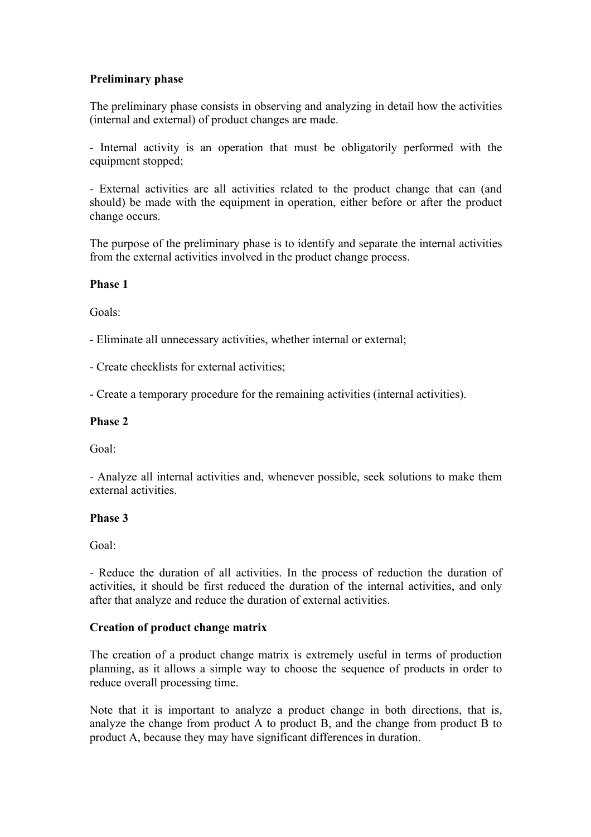# **Preliminary phase**

The preliminary phase consists in observing and analyzing in detail how the activities (internal and external) of product changes are made.

- Internal activity is an operation that must be obligatorily performed with the equipment stopped;

- External activities are all activities related to the product change that can (and should) be made with the equipment in operation, either before or after the product change occurs.

The purpose of the preliminary phase is to identify and separate the internal activities from the external activities involved in the product change process.

# **Phase 1**

Goals:

- Eliminate all unnecessary activities, whether internal or external;

- Create checklists for external activities;

- Create a temporary procedure for the remaining activities (internal activities).

# **Phase 2**

Goal:

- Analyze all internal activities and, whenever possible, seek solutions to make them external activities.

# **Phase 3**

Goal:

- Reduce the duration of all activities. In the process of reduction the duration of activities, it should be first reduced the duration of the internal activities, and only after that analyze and reduce the duration of external activities.

# **Creation of product change matrix**

The creation of a product change matrix is extremely useful in terms of production planning, as it allows a simple way to choose the sequence of products in order to reduce overall processing time.

Note that it is important to analyze a product change in both directions, that is, analyze the change from product A to product B, and the change from product B to product A, because they may have significant differences in duration.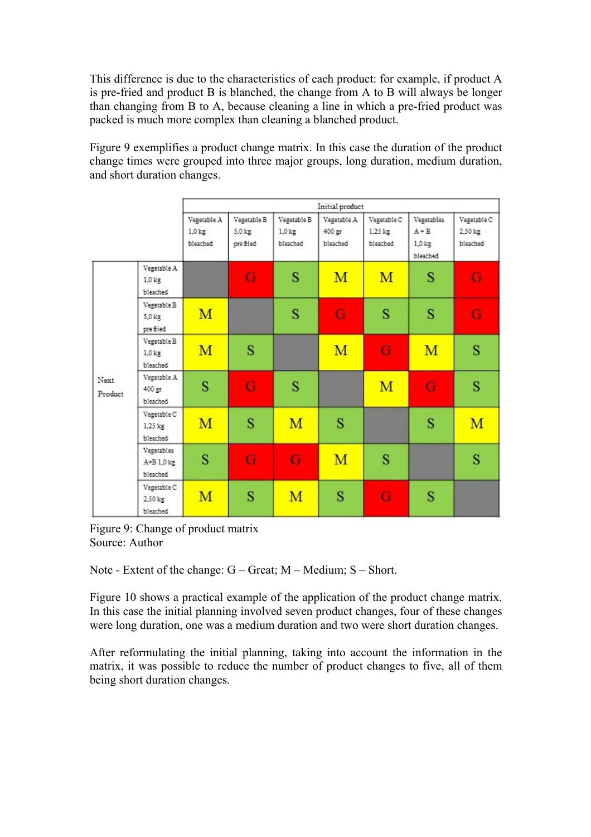This difference is due to the characteristics of each product: for example, if product A is pre-fried and product B is blanched, the change from A to B will always be longer than changing from B to A, because cleaning a line in which a pre-fried product was packed is much more complex than cleaning a blanched product.

Figure 9 exemplifies a product change matrix. In this case the duration of the product change times were grouped into three major groups, long duration, medium duration, and short duration changes.

|                 |                                      | Initial product                     |                                      |                                        |                                   |                                      |                                               |                                    |  |  |
|-----------------|--------------------------------------|-------------------------------------|--------------------------------------|----------------------------------------|-----------------------------------|--------------------------------------|-----------------------------------------------|------------------------------------|--|--|
|                 |                                      | Vegetable A<br>$1,0$ kg<br>bleached | Vegetable B<br>$5.0$ kg<br>pre fried | Vegetable B<br>$1.0$ $k$ g<br>bleached | Vegetable A<br>400 gr<br>bleached | Vegetable C<br>$1,25$ kg<br>bleached | Vegetables<br>$A + B$<br>$1.0$ kg<br>bleached | Vegetable C<br>2,50 kg<br>bleached |  |  |
| Next<br>Product | Vegetable A<br>$1.0$ kg<br>bleached  |                                     | G                                    | S                                      | M                                 | M                                    | S                                             | G                                  |  |  |
|                 | Vegetable B<br>5,0 kg<br>pre fried   | M                                   |                                      | S                                      | G                                 | S                                    | S                                             | G                                  |  |  |
|                 | Vegetable B<br>$1.0$ kg<br>bleached  | M                                   | S                                    |                                        | M                                 | G                                    | M                                             | S                                  |  |  |
|                 | Vegetable A<br>400 gr<br>bleached    | S                                   | G                                    | S                                      |                                   | M                                    | G                                             | S                                  |  |  |
|                 | Vegetable C<br>$1,25$ kg<br>bleached | M                                   | S                                    | M                                      | S                                 |                                      | S                                             | M                                  |  |  |
|                 | Vegetables<br>A+B 1.0 kg<br>bleached | S                                   | G                                    | G                                      | M                                 | S                                    |                                               | S                                  |  |  |
|                 | Vegetable C<br>2,50 kg<br>bleached   | M                                   | S                                    | M                                      | S                                 | G                                    | S                                             |                                    |  |  |

Figure 9: Change of product matrix Source: Author

Note - Extent of the change: G – Great; M – Medium; S – Short.

Figure 10 shows a practical example of the application of the product change matrix. In this case the initial planning involved seven product changes, four of these changes were long duration, one was a medium duration and two were short duration changes.

After reformulating the initial planning, taking into account the information in the matrix, it was possible to reduce the number of product changes to five, all of them being short duration changes.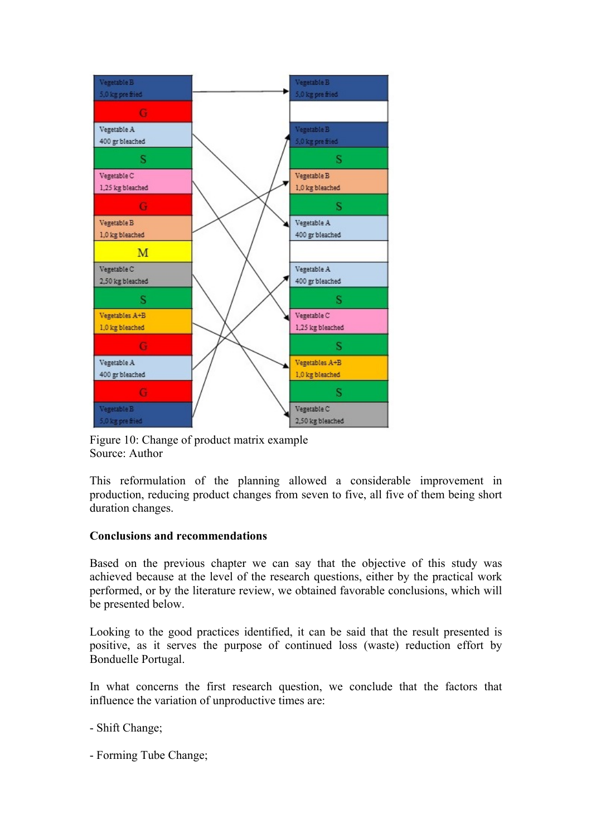

Figure 10: Change of product matrix example Source: Author

This reformulation of the planning allowed a considerable improvement in production, reducing product changes from seven to five, all five of them being short duration changes.

# **Conclusions and recommendations**

Based on the previous chapter we can say that the objective of this study was achieved because at the level of the research questions, either by the practical work performed, or by the literature review, we obtained favorable conclusions, which will be presented below.

Looking to the good practices identified, it can be said that the result presented is positive, as it serves the purpose of continued loss (waste) reduction effort by Bonduelle Portugal.

In what concerns the first research question, we conclude that the factors that influence the variation of unproductive times are:

- Shift Change;

- Forming Tube Change;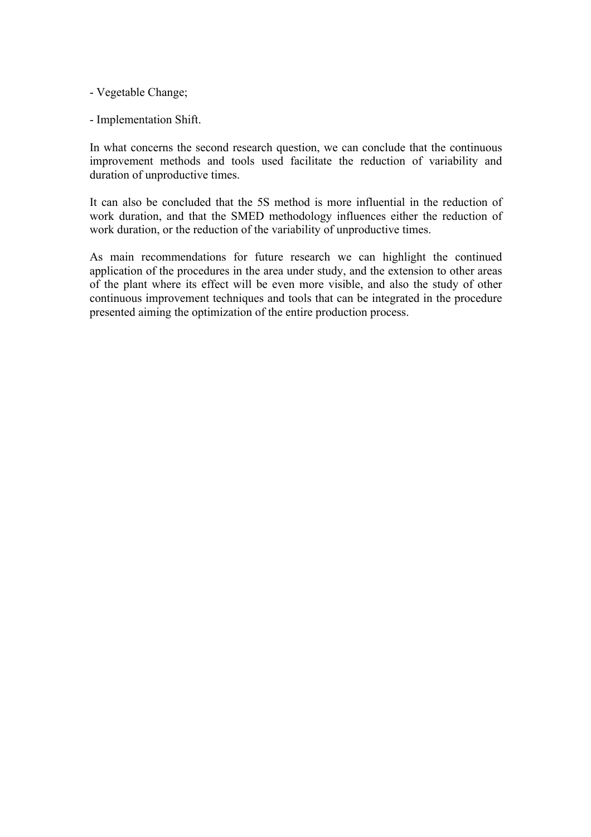- Vegetable Change;

- Implementation Shift.

In what concerns the second research question, we can conclude that the continuous improvement methods and tools used facilitate the reduction of variability and duration of unproductive times.

It can also be concluded that the 5S method is more influential in the reduction of work duration, and that the SMED methodology influences either the reduction of work duration, or the reduction of the variability of unproductive times.

As main recommendations for future research we can highlight the continued application of the procedures in the area under study, and the extension to other areas of the plant where its effect will be even more visible, and also the study of other continuous improvement techniques and tools that can be integrated in the procedure presented aiming the optimization of the entire production process.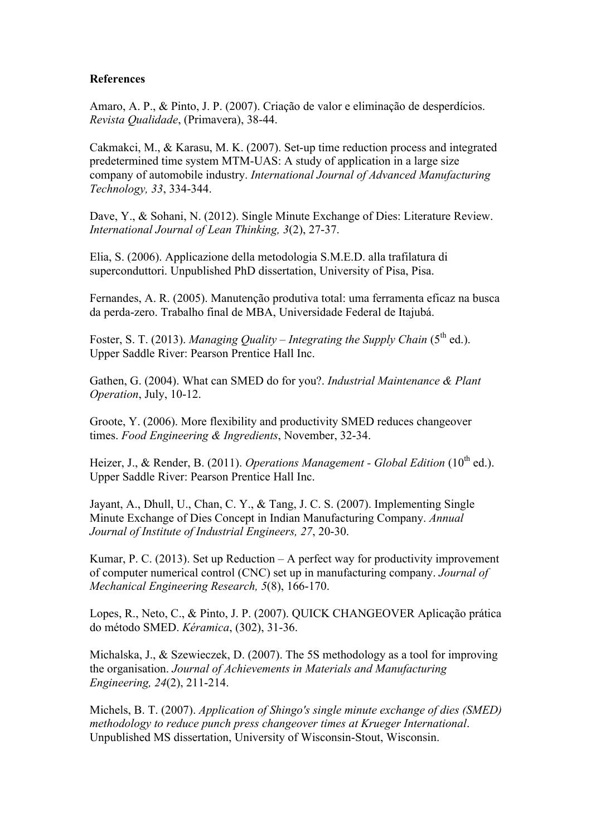# **References**

Amaro, A. P., & Pinto, J. P. (2007). Criação de valor e eliminação de desperdícios. *Revista Qualidade*, (Primavera), 38-44.

Cakmakci, M., & Karasu, M. K. (2007). Set-up time reduction process and integrated predetermined time system MTM-UAS: A study of application in a large size company of automobile industry. *International Journal of Advanced Manufacturing Technology, 33*, 334-344.

Dave, Y., & Sohani, N. (2012). Single Minute Exchange of Dies: Literature Review. *International Journal of Lean Thinking, 3*(2), 27-37.

Elia, S. (2006). Applicazione della metodologia S.M.E.D. alla trafilatura di superconduttori. Unpublished PhD dissertation, University of Pisa, Pisa.

Fernandes, A. R. (2005). Manutenção produtiva total: uma ferramenta eficaz na busca da perda-zero. Trabalho final de MBA, Universidade Federal de Itajubá.

Foster, S. T. (2013). *Managing Quality – Integrating the Supply Chain* (5<sup>th</sup> ed.). Upper Saddle River: Pearson Prentice Hall Inc.

Gathen, G. (2004). What can SMED do for you?. *Industrial Maintenance & Plant Operation*, July, 10-12.

Groote, Y. (2006). More flexibility and productivity SMED reduces changeover times. *Food Engineering & Ingredients*, November, 32-34.

Heizer, J., & Render, B. (2011). *Operations Management - Global Edition* (10<sup>th</sup> ed.). Upper Saddle River: Pearson Prentice Hall Inc.

Jayant, A., Dhull, U., Chan, C. Y., & Tang, J. C. S. (2007). Implementing Single Minute Exchange of Dies Concept in Indian Manufacturing Company. *Annual Journal of Institute of Industrial Engineers, 27*, 20-30.

Kumar, P. C. (2013). Set up Reduction  $-A$  perfect way for productivity improvement of computer numerical control (CNC) set up in manufacturing company. *Journal of Mechanical Engineering Research, 5*(8), 166-170.

Lopes, R., Neto, C., & Pinto, J. P. (2007). QUICK CHANGEOVER Aplicação prática do método SMED. *Kéramica*, (302), 31-36.

Michalska, J., & Szewieczek, D. (2007). The 5S methodology as a tool for improving the organisation. *Journal of Achievements in Materials and Manufacturing Engineering, 24*(2), 211-214.

Michels, B. T. (2007). *Application of Shingo's single minute exchange of dies (SMED) methodology to reduce punch press changeover times at Krueger International*. Unpublished MS dissertation, University of Wisconsin-Stout, Wisconsin.